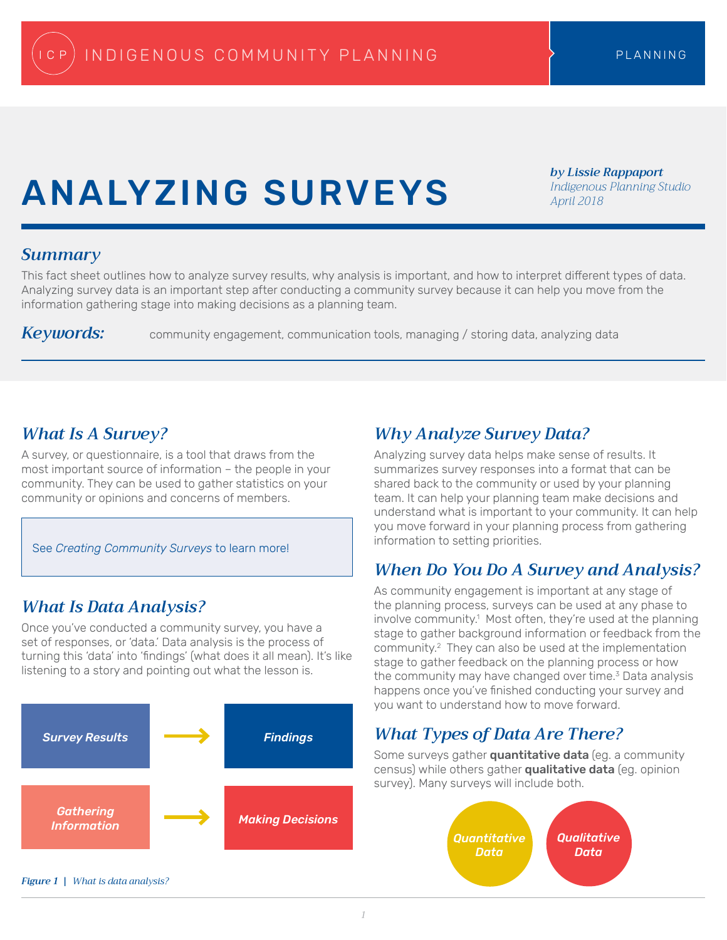# Analyzing Surveys

*by Lissie Rappaport Indigenous Planning Studio April 2018*

### *Summary*

This fact sheet outlines how to analyze survey results, why analysis is important, and how to interpret different types of data. Analyzing survey data is an important step after conducting a community survey because it can help you move from the information gathering stage into making decisions as a planning team.

*Keywords:* community engagement, communication tools, managing / storing data, analyzing data

### *What Is A Survey?*

A survey, or questionnaire, is a tool that draws from the most important source of information – the people in your community. They can be used to gather statistics on your community or opinions and concerns of members.

See *Creating Community Surveys* to learn more!

### *What Is Data Analysis?*

Once you've conducted a community survey, you have a set of responses, or 'data.' Data analysis is the process of turning this 'data' into 'findings' (what does it all mean). It's like listening to a story and pointing out what the lesson is.



### *Why Analyze Survey Data?*

Analyzing survey data helps make sense of results. It summarizes survey responses into a format that can be shared back to the community or used by your planning team. It can help your planning team make decisions and understand what is important to your community. It can help you move forward in your planning process from gathering information to setting priorities.

### *When Do You Do A Survey and Analysis?*

As community engagement is important at any stage of the planning process, surveys can be used at any phase to involve community.<sup>1</sup> Most often, they're used at the planning stage to gather background information or feedback from the community.2 They can also be used at the implementation stage to gather feedback on the planning process or how the community may have changed over time.<sup>3</sup> Data analysis happens once you've finished conducting your survey and you want to understand how to move forward.

### *What Types of Data Are There?*

Some surveys gather **quantitative data** (eg. a community census) while others gather qualitative data (eg. opinion survey). Many surveys will include both.

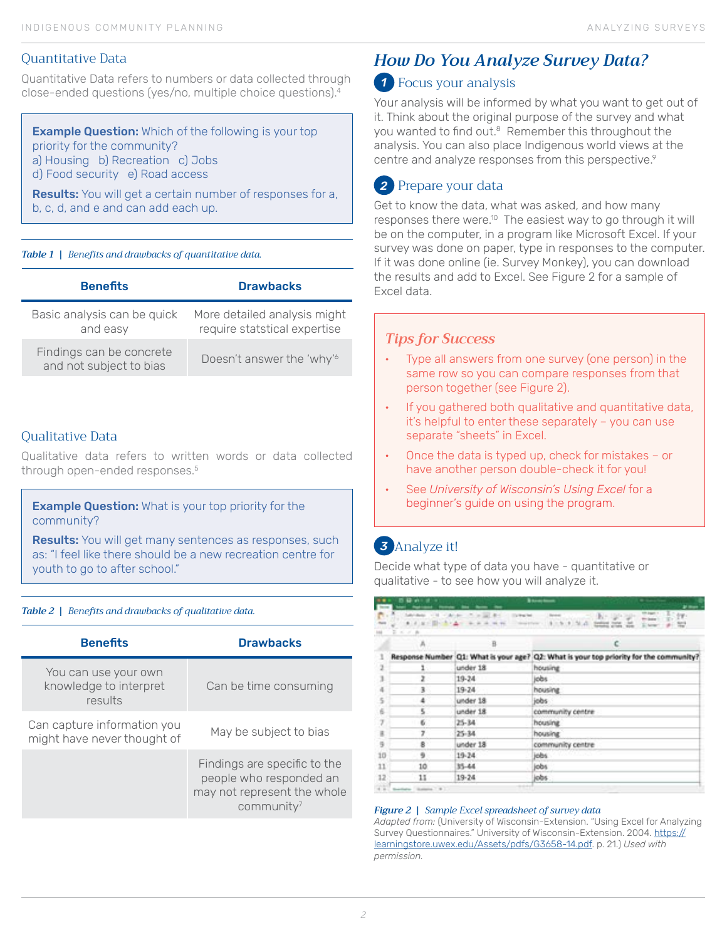#### Quantitative Data

Quantitative Data refers to numbers or data collected through close-ended questions (yes/no, multiple choice questions).<sup>4</sup>

**Example Question:** Which of the following is your top priority for the community? a) Housing b) Recreation c) Jobs d) Food security e) Road access

Results: You will get a certain number of responses for a, b, c, d, and e and can add each up.

#### *Table 1 | Benefits and drawbacks of quantitative data.*

| <b>Benefits</b>                                     | <b>Drawbacks</b>                                             |
|-----------------------------------------------------|--------------------------------------------------------------|
| Basic analysis can be quick<br>and easy             | More detailed analysis might<br>require statstical expertise |
| Findings can be concrete<br>and not subject to bias | Doesn't answer the 'why' <sup>6</sup>                        |

#### Qualitative Data

Qualitative data refers to written words or data collected through open-ended responses.<sup>5</sup>

**Example Question:** What is your top priority for the community?

Results: You will get many sentences as responses, such as: "I feel like there should be a new recreation centre for youth to go to after school."

#### *Table 2 | Benefits and drawbacks of qualitative data.*

| <b>Benefits</b>                                            | <b>Drawbacks</b>                                                                                     |
|------------------------------------------------------------|------------------------------------------------------------------------------------------------------|
| You can use your own<br>knowledge to interpret<br>results  | Can be time consuming                                                                                |
| Can capture information you<br>might have never thought of | May be subject to bias                                                                               |
|                                                            | Findings are specific to the<br>people who responded an<br>may not represent the whole<br>community' |

## *How Do You Analyze Survey Data?*

### Focus your analysis *1*

Your analysis will be informed by what you want to get out of it. Think about the original purpose of the survey and what you wanted to find out.<sup>8</sup> Remember this throughout the analysis. You can also place Indigenous world views at the centre and analyze responses from this perspective.<sup>9</sup>

#### Prepare your data *2*

Get to know the data, what was asked, and how many responses there were.<sup>10</sup> The easiest way to go through it will be on the computer, in a program like Microsoft Excel. If your survey was done on paper, type in responses to the computer. If it was done online (ie. Survey Monkey), you can download the results and add to Excel. See Figure 2 for a sample of Excel data.

#### *Tips for Success*

- Type all answers from one survey (one person) in the same row so you can compare responses from that person together (see Figure 2).
- If you gathered both qualitative and quantitative data, it's helpful to enter these separately – you can use separate "sheets" in Excel.
- Once the data is typed up, check for mistakes or have another person double-check it for you!
- See *University of Wisconsin's Using Excel* for a beginner's guide on using the program.

### Analyze it! *3*

Decide what type of data you have - quantitative or qualitative - to see how you will analyze it.

| $\cdots$<br><b>Service</b>            | <b>BBAIRS</b>                                      |                                   | <b>Basement</b><br><b>William</b><br>$22$ mass                                               |  |
|---------------------------------------|----------------------------------------------------|-----------------------------------|----------------------------------------------------------------------------------------------|--|
| <b>C</b><br>$\frac{1+\alpha}{\alpha}$ | of the class<br>● 4 日 日 图 → 多 × 五 →<br>$2 x x + h$ | $-20.44$<br><b>Clay Mean Vent</b> | note pages +<br>tr-<br>the great<br>WHY CARDINAL<br>arrest to a fact that the com-<br>E term |  |
|                                       | А                                                  | 亘                                 |                                                                                              |  |
| 1                                     |                                                    |                                   | Response Number  Q1: What is your age?  Q2: What is your top priority for the community?     |  |
| $\overline{z}$                        | $\mathbf{1}$                                       | under 18                          | housing                                                                                      |  |
| 3                                     |                                                    | 19-24                             | jobs                                                                                         |  |
| 4                                     | 3                                                  | 19-24                             | housing                                                                                      |  |
| 5                                     |                                                    | under 18                          | jobs:                                                                                        |  |
| 6                                     | 5                                                  | under 18                          | community centre                                                                             |  |
| 7                                     | 6                                                  | $25 - 34$                         | housing                                                                                      |  |
| $\mathbf{R}$                          | 7                                                  | $25 - 34$                         | housing                                                                                      |  |
| 9                                     | 8                                                  | under 18                          | community centre                                                                             |  |
| 10                                    | 9                                                  | $19-24$                           | jobs:                                                                                        |  |
| 11                                    | 10                                                 | 35-44                             | jobs                                                                                         |  |
| 12                                    | 11                                                 | $19 - 24$                         | jobs:                                                                                        |  |
| 77                                    | $-$                                                |                                   |                                                                                              |  |

#### *Figure 2 | Sample Excel spreadsheet of survey data*

*Adapted from:* (University of Wisconsin-Extension. "Using Excel for Analyzing Survey Questionnaires." University of Wisconsin-Extension. 2004. [https://](https://learningstore.uwex.edu/Assets/pdfs/G3658-14.pdf) [learningstore.uwex.edu/Assets/pdfs/G3658-14.pdf.](https://learningstore.uwex.edu/Assets/pdfs/G3658-14.pdf) p. 21.) *Used with permission.*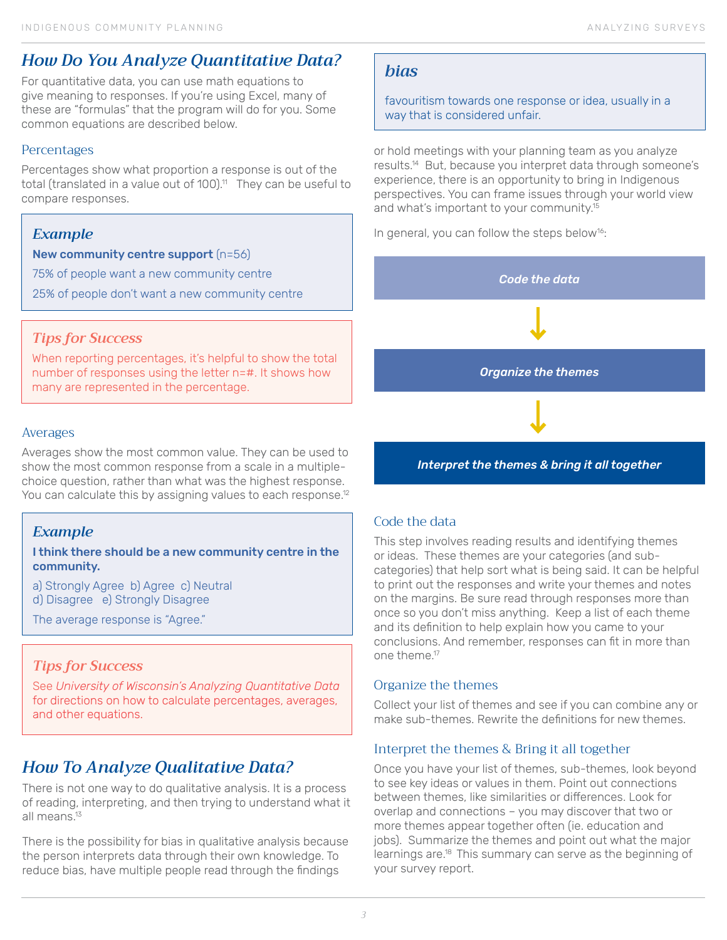### *How Do You Analyze Quantitative Data?*

For quantitative data, you can use math equations to give meaning to responses. If you're using Excel, many of these are "formulas" that the program will do for you. Some common equations are described below.

#### **Percentages**

Percentages show what proportion a response is out of the total (translated in a value out of 100).<sup>11</sup> They can be useful to compare responses.

#### *Example*

New community centre support (n=56)

75% of people want a new community centre

25% of people don't want a new community centre

#### *Tips for Success*

When reporting percentages, it's helpful to show the total number of responses using the letter n=#. It shows how many are represented in the percentage.

#### Averages

Averages show the most common value. They can be used to show the most common response from a scale in a multiplechoice question, rather than what was the highest response. You can calculate this by assigning values to each response.<sup>12</sup>

### *Example*

#### I think there should be a new community centre in the community.

a) Strongly Agree b) Agree c) Neutral

d) Disagree e) Strongly Disagree

The average response is "Agree."

#### *Tips for Success*

See *University of Wisconsin's Analyzing Quantitative Data*  for directions on how to calculate percentages, averages, and other equations.

### *How To Analyze Qualitative Data?*

There is not one way to do qualitative analysis. It is a process of reading, interpreting, and then trying to understand what it all means.13

There is the possibility for bias in qualitative analysis because the person interprets data through their own knowledge. To reduce bias, have multiple people read through the findings

#### *bias*

favouritism towards one response or idea, usually in a way that is considered unfair.

or hold meetings with your planning team as you analyze results.14 But, because you interpret data through someone's experience, there is an opportunity to bring in Indigenous perspectives. You can frame issues through your world view and what's important to your community.<sup>15</sup>

In general, you can follow the steps below<sup>16</sup>:



#### *Interpret the themes & bring it all together*

#### Code the data

This step involves reading results and identifying themes or ideas. These themes are your categories (and subcategories) that help sort what is being said. It can be helpful to print out the responses and write your themes and notes on the margins. Be sure read through responses more than once so you don't miss anything. Keep a list of each theme and its definition to help explain how you came to your conclusions. And remember, responses can fit in more than one theme.17

#### Organize the themes

Collect your list of themes and see if you can combine any or make sub-themes. Rewrite the definitions for new themes.

#### Interpret the themes & Bring it all together

Once you have your list of themes, sub-themes, look beyond to see key ideas or values in them. Point out connections between themes, like similarities or differences. Look for overlap and connections – you may discover that two or more themes appear together often (ie. education and jobs). Summarize the themes and point out what the major learnings are.18 This summary can serve as the beginning of your survey report.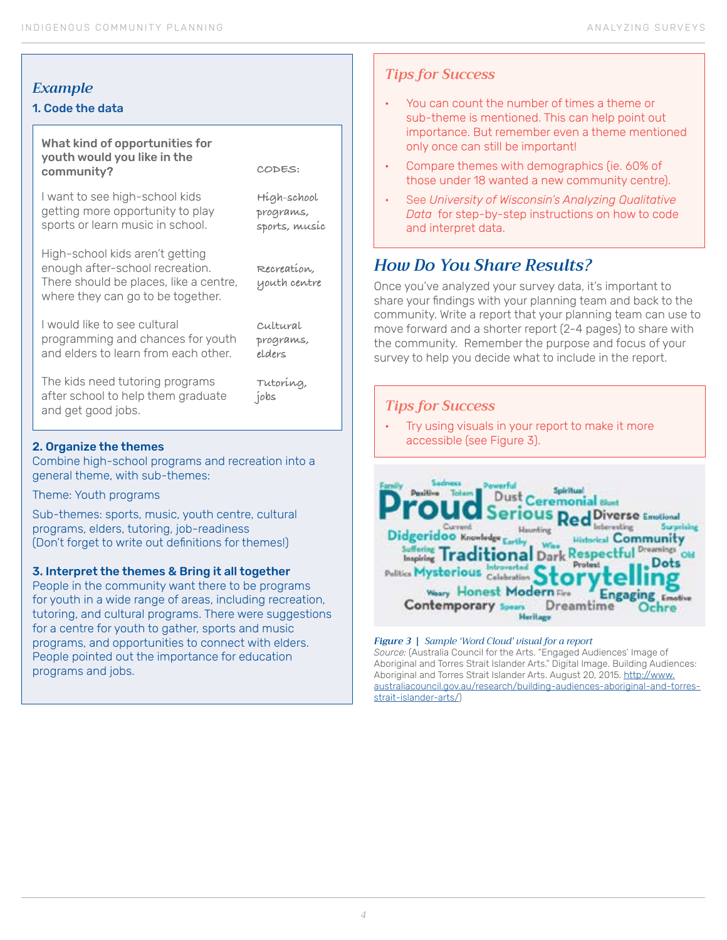### *Example*

#### 1. Code the data

#### What kind of opportunities for youth would you like in the community?

I want to see high-school kids getting more opportunity to play sports or learn music in school.

High-school kids aren't getting enough after-school recreation. There should be places, like a centre, where they can go to be together.

**programs, sports, music**

**High-school** 

**CODES:**

**Recreation, youth centre**

I would like to see cultural programming and chances for youth and elders to learn from each other. **Cultural programs, elders**

The kids need tutoring programs after school to help them graduate and get good jobs.

**Tutoring, jobs**

#### 2. Organize the themes

Combine high-school programs and recreation into a general theme, with sub-themes:

Theme: Youth programs

Sub-themes: sports, music, youth centre, cultural programs, elders, tutoring, job-readiness (Don't forget to write out definitions for themes!)

#### 3. Interpret the themes & Bring it all together

People in the community want there to be programs for youth in a wide range of areas, including recreation, tutoring, and cultural programs. There were suggestions for a centre for youth to gather, sports and music programs, and opportunities to connect with elders. People pointed out the importance for education programs and jobs.

#### *Tips for Success*

- You can count the number of times a theme or sub-theme is mentioned. This can help point out importance. But remember even a theme mentioned only once can still be important!
- Compare themes with demographics (ie. 60% of those under 18 wanted a new community centre).
- See *University of Wisconsin's Analyzing Qualitative Data* for step-by-step instructions on how to code and interpret data.

### *How Do You Share Results?*

Once you've analyzed your survey data, it's important to share your findings with your planning team and back to the community. Write a report that your planning team can use to move forward and a shorter report (2-4 pages) to share with the community. Remember the purpose and focus of your survey to help you decide what to include in the report.

#### *Tips for Success*

Try using visuals in your report to make it more accessible (see Figure 3).



#### *Figure 3 | Sample 'Word Cloud' visual for a report*

*Source:* (Australia Council for the Arts. "Engaged Audiences' Image of Aboriginal and Torres Strait Islander Arts." Digital Image. Building Audiences: Aboriginal and Torres Strait Islander Arts. August 20, 2015. [http://www.](http://www.australiacouncil.gov.au/research/building-audiences-aboriginal-and-torres-strait-islander-arts/) [australiacouncil.gov.au/research/building-audiences-aboriginal-and-torres](http://www.australiacouncil.gov.au/research/building-audiences-aboriginal-and-torres-strait-islander-arts/)[strait-islander-arts/](http://www.australiacouncil.gov.au/research/building-audiences-aboriginal-and-torres-strait-islander-arts/))